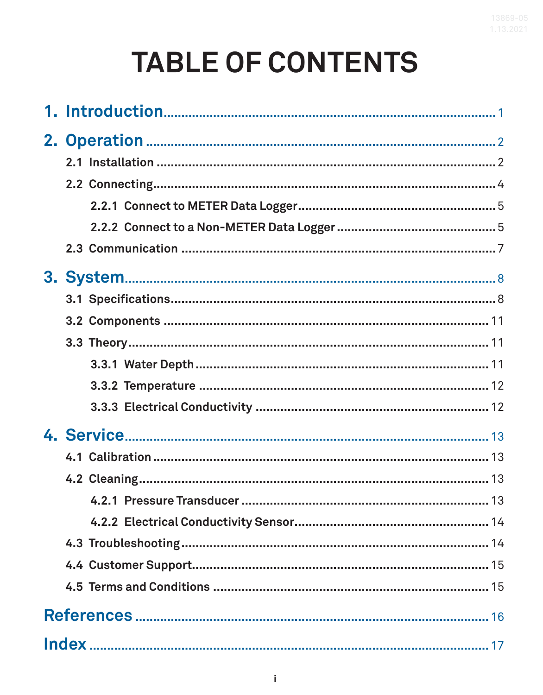# **TABLE OF CONTENTS**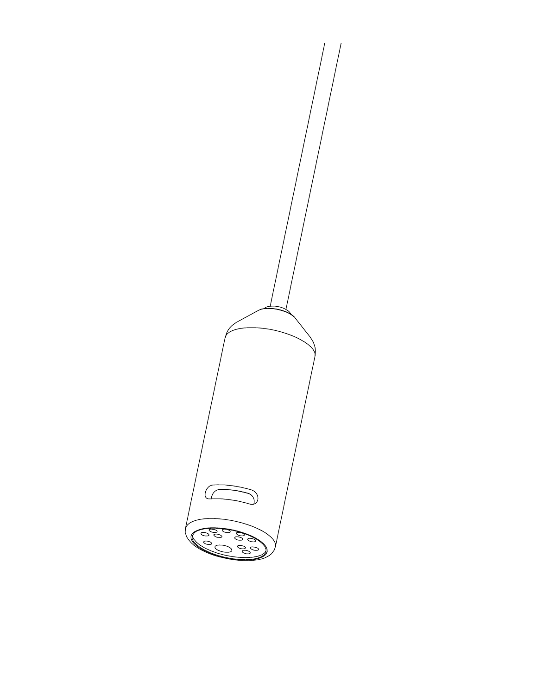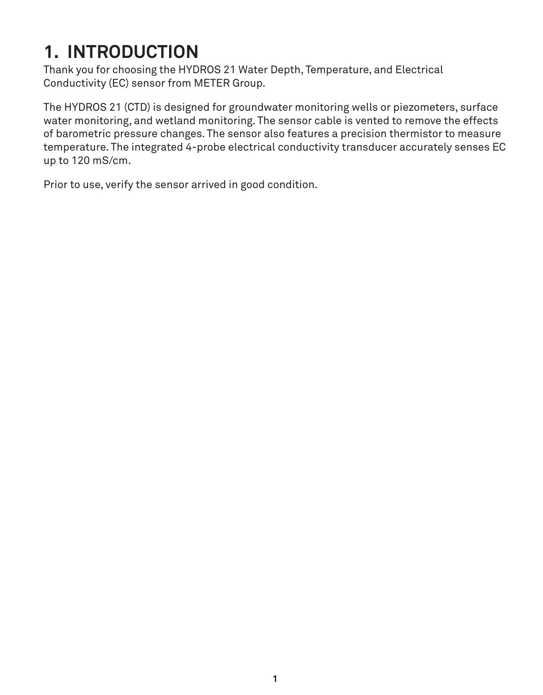## <span id="page-2-0"></span>**1. INTRODUCTION**

Thank you for choosing the HYDROS 21 Water Depth, Temperature, and Electrical Conductivity (EC) sensor from METER Group.

The HYDROS 21 (CTD) is designed for groundwater monitoring wells or piezometers, surface water monitoring, and wetland monitoring. The sensor cable is vented to remove the effects of barometric pressure changes. The sensor also features a precision thermistor to measure temperature. The integrated 4-probe electrical conductivity transducer accurately senses EC up to 120 mS/cm.

Prior to use, verify the sensor arrived in good condition.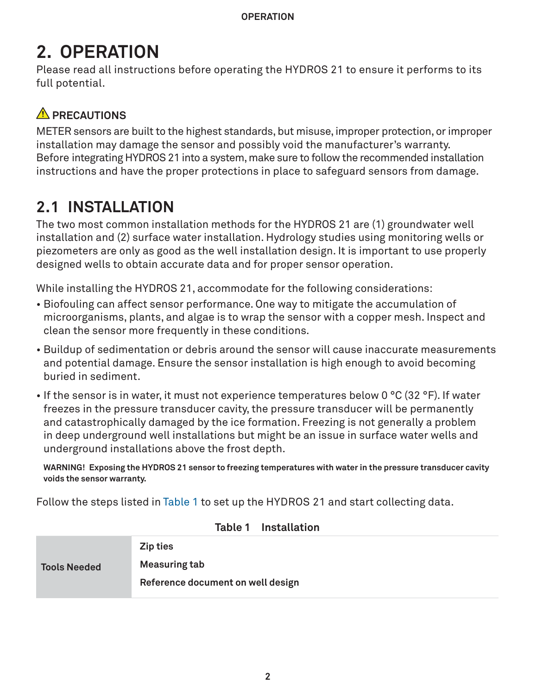## <span id="page-3-0"></span>**2. OPERATION**

Please read all instructions before operating the HYDROS 21 to ensure it performs to its full potential.

## **A** PRECAUTIONS

METER sensors are built to the highest standards, but misuse, improper protection, or improper installation may damage the sensor and possibly void the manufacturer's warranty. Before integrating HYDROS 21 into a system, make sure to follow the recommended installation instructions and have the proper protections in place to safeguard sensors from damage.

## **2.1 INSTALLATION**

The two most common installation methods for the HYDROS 21 are (1) groundwater well installation and (2) surface water installation. Hydrology studies using monitoring wells or piezometers are only as good as the well installation design. It is important to use properly designed wells to obtain accurate data and for proper sensor operation.

While installing the HYDROS 21, accommodate for the following considerations:

- Biofouling can affect sensor performance. One way to mitigate the accumulation of microorganisms, plants, and algae is to wrap the sensor with a copper mesh. Inspect and clean the sensor more frequently in these conditions.
- Buildup of sedimentation or debris around the sensor will cause inaccurate measurements and potential damage. Ensure the sensor installation is high enough to avoid becoming buried in sediment.
- If the sensor is in water, it must not experience temperatures below 0 °C (32 °F). If water freezes in the pressure transducer cavity, the pressure transducer will be permanently and catastrophically damaged by the ice formation. Freezing is not generally a problem in deep underground well installations but might be an issue in surface water wells and underground installations above the frost depth.

**WARNING! Exposing the HYDROS 21 sensor to freezing temperatures with water in the pressure transducer cavity voids the sensor warranty.**

Follow the steps listed in [Table 1](#page-3-1) to set up the HYDROS 21 and start collecting data.

|                     | Zip ties                          |
|---------------------|-----------------------------------|
| <b>Tools Needed</b> | Measuring tab                     |
|                     | Reference document on well design |

<span id="page-3-1"></span>**Table 1 Installation**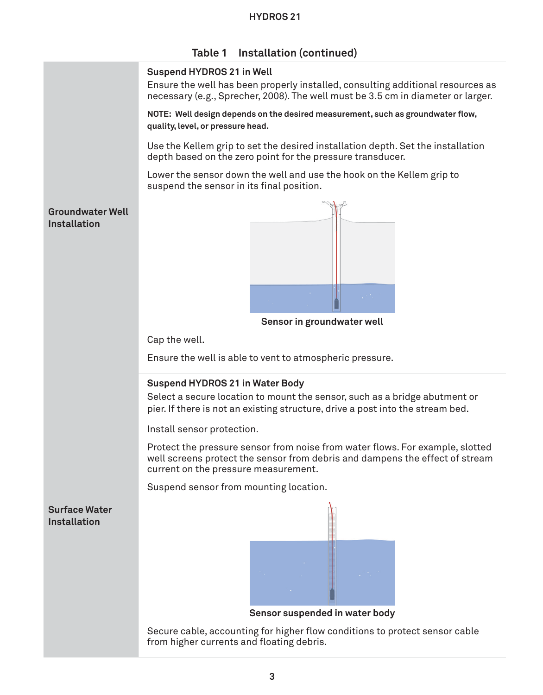<span id="page-4-0"></span>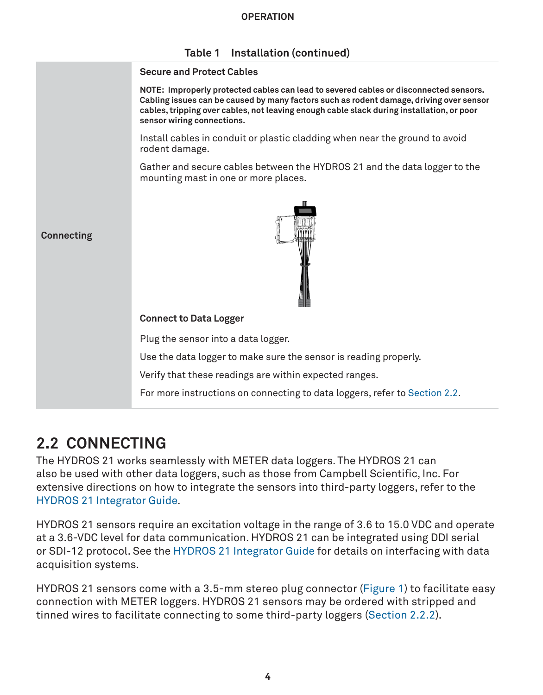

<span id="page-5-0"></span>

## **2.2 CONNECTING**

The HYDROS 21 works seamlessly with METER data loggers. The HYDROS 21 can also be used with other data loggers, such as those from Campbell Scientific, Inc. For extensive directions on how to integrate the sensors into third-party loggers, refer to the HYDROS 21 [Integrator Guide](http://www.metergroup.com/hydros21-support).

HYDROS 21 sensors require an excitation voltage in the range of 3.6 to 15.0 VDC and operate at a 3.6-VDC level for data communication. HYDROS 21 can be integrated using DDI serial or SDI-12 protocol. See the HYDROS 2[1 Integrator Guide](http://www.metergroup.com/hydros21-support) for details on interfacing with data acquisition systems.

HYDROS 21 sensors come with a 3.5-mm stereo plug connector (Figure 1) to facilitate easy connection with METER loggers. HYDROS 21 sensors may be ordered with stripped and tinned wires to facilitate connecting to some third-party loggers (Section 2.2.2).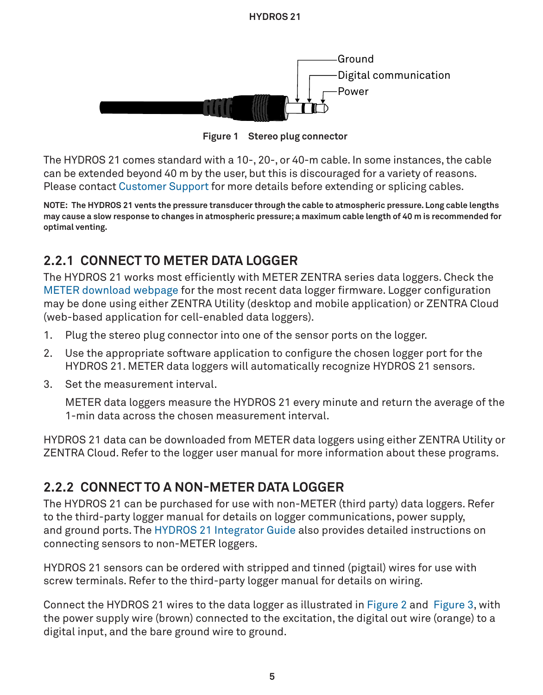<span id="page-6-0"></span>

**Figure 1 Stereo plug connector**

The HYDROS 21 comes standard with a 10-, 20-, or 40-m cable. In some instances, the cable can be extended beyond 40 m by the user, but this is discouraged for a variety of reasons. Please contact Customer Support for more details before extending or splicing cables.

**NOTE: The HYDROS 21 vents the pressure transducer through the cable to atmospheric pressure. Long cable lengths may cause a slow response to changes in atmospheric pressure; a maximum cable length of 40 m is recommended for optimal venting.**

### **2.2.1 CONNECT TO METER DATA LOGGER**

The HYDROS 21 works most efficiently with METER ZENTRA series data loggers. Check the [METER download webpage](http://) for the most recent data logger firmware. Logger configuration may be done using either ZENTRA Utility (desktop and mobile application) or ZENTRA Cloud (web-based application for cell-enabled data loggers).

- 1. Plug the stereo plug connector into one of the sensor ports on the logger.
- 2. Use the appropriate software application to configure the chosen logger port for the HYDROS 21. METER data loggers will automatically recognize HYDROS 21 sensors.
- 3. Set the measurement interval.

METER data loggers measure the HYDROS 21 every minute and return the average of the 1-min data across the chosen measurement interval.

HYDROS 21 data can be downloaded from METER data loggers using either ZENTRA Utility or ZENTRA Cloud. Refer to the logger user manual for more information about these programs.

### **2.2.2 CONNECT TO A NON-METER DATA LOGGER**

The HYDROS 21 can be purchased for use with non-METER (third party) data loggers. Refer to the third-party logger manual for details on logger communications, power supply, and ground ports. The HYDROS 21 [Integrator Guide](http://www.metergroup.com/hydros21-support) also provides detailed instructions on connecting sensors to non-METER loggers.

HYDROS 21 sensors can be ordered with stripped and tinned (pigtail) wires for use with screw terminals. Refer to the third-party logger manual for details on wiring.

Connect the HYDROS 21 wires to the data logger as illustrated in Figure 2 and [Figure 3,](#page-7-0) with the power supply wire (brown) connected to the excitation, the digital out wire (orange) to a digital input, and the bare ground wire to ground.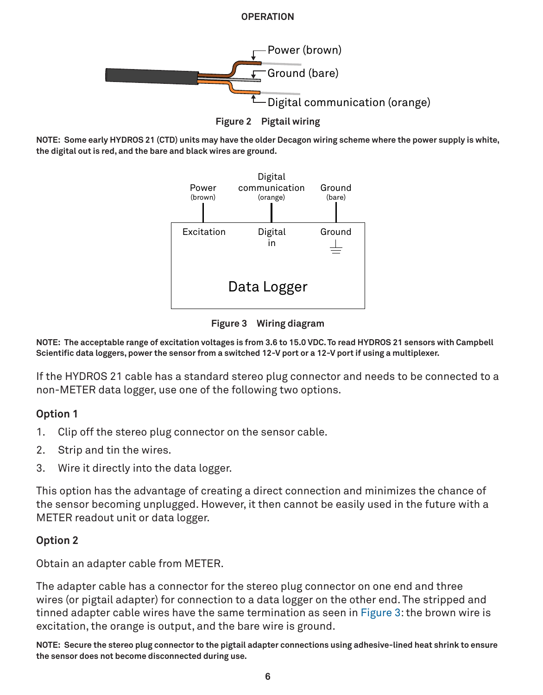#### **Operation**

<span id="page-7-1"></span>

**NOTE: Some early HYDROS 21 (CTD) units may have the older Decagon wiring scheme where the power supply is white, the digital out is red, and the bare and black wires are ground.**



<span id="page-7-0"></span>

**NOTE: The acceptable range of excitation voltages is from 3.6 to 15.0 VDC. To read HYDROS 21 sensors with Campbell Scientific data loggers, power the sensor from a switched 12-V port or a 12-V port if using a multiplexer.**

If the HYDROS 21 cable has a standard stereo plug connector and needs to be connected to a non-METER data logger, use one of the following two options.

#### **Option 1**

- 1. Clip off the stereo plug connector on the sensor cable.
- 2. Strip and tin the wires.
- 3. Wire it directly into the data logger.

This option has the advantage of creating a direct connection and minimizes the chance of the sensor becoming unplugged. However, it then cannot be easily used in the future with a METER readout unit or data logger.

#### **Option 2**

Obtain an adapter cable from METER.

The adapter cable has a connector for the stereo plug connector on one end and three wires (or pigtail adapter) for connection to a data logger on the other end. The stripped and tinned adapter cable wires have the same termination as seen in [Figure 3](#page-7-0): the brown wire is excitation, the orange is output, and the bare wire is ground.

**NOTE: Secure the stereo plug connector to the pigtail adapter connections using adhesive-lined heat shrink to ensure the sensor does not become disconnected during use.**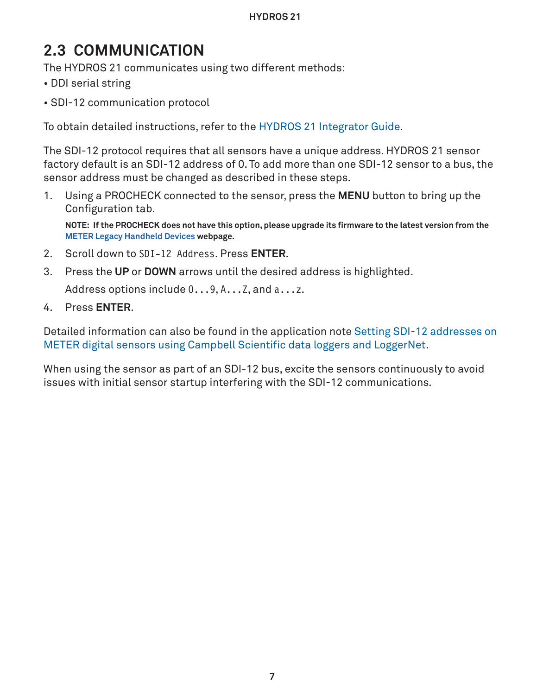## <span id="page-8-0"></span>**2.3 COMMUNICATION**

The HYDROS 21 communicates using two different methods:

- DDI serial string
- SDI-12 communication protocol

To obtain detailed instructions, refer to the HYDROS 2[1 Integrator Guide.](http://www.metergroup.com/hydros21-support)

The SDI-12 protocol requires that all sensors have a unique address. HYDROS 21 sensor factory default is an SDI-12 address of 0. To add more than one SDI-12 sensor to a bus, the sensor address must be changed as described in these steps.

1. Using a PROCHECK connected to the sensor, press the **MENU** button to bring up the Configuration tab.

**NOTE: If the PROCHECK does not have this option, please upgrade its firmware to the latest version from the [METER Legacy Handheld Devices](https://www.metergroup.com/environment/articles/buy-browse-meter-legacy-handheld-devices/) webpage.** 

- 2. Scroll down to SDI-12 Address. Press **ENTER**.
- 3. Press the **UP** or **DOWN** arrows until the desired address is highlighted.

Address options include 0...9, A...Z, and a...z.

4. Press **ENTER**.

Detailed information can also be found in the application note [Setting SDI-12 addresses on](http://metergroup.com/environment/articles/setting-addresses-using-campbell-scientific-data-loggers/)  [METER digital sensors using Campbell Scientific data loggers and LoggerNet.](http://metergroup.com/environment/articles/setting-addresses-using-campbell-scientific-data-loggers/)

When using the sensor as part of an SDI-12 bus, excite the sensors continuously to avoid issues with initial sensor startup interfering with the SDI-12 communications.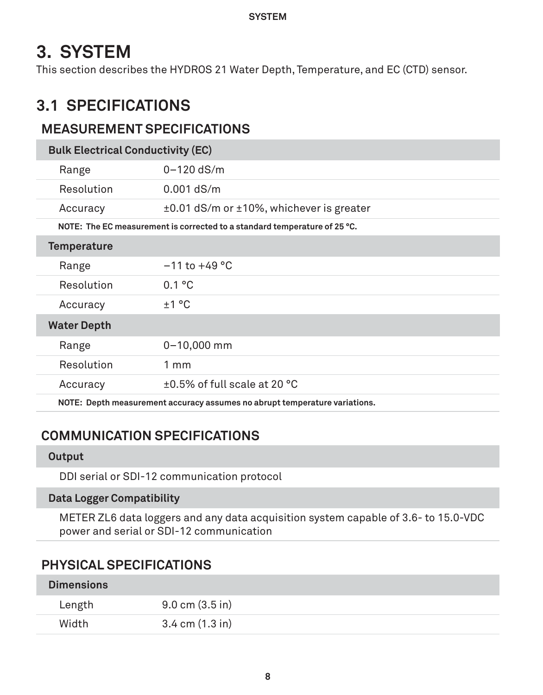**System**

## <span id="page-9-0"></span>**3. SYSTEM**

This section describes the HYDROS 21 Water Depth, Temperature, and EC (CTD) sensor.

## **3.1 SPECIFICATIONS**

#### **MEASUREMENT SPECIFICATIONS**

| <b>Bulk Electrical Conductivity (EC)</b> |                                                                            |  |
|------------------------------------------|----------------------------------------------------------------------------|--|
| Range                                    | $0 - 120$ dS/m                                                             |  |
| Resolution                               | $0.001$ dS/m                                                               |  |
| Accuracy                                 | $\pm 0.01$ dS/m or $\pm 10\%$ , whichever is greater                       |  |
|                                          | NOTE: The EC measurement is corrected to a standard temperature of 25 °C.  |  |
| <b>Temperature</b>                       |                                                                            |  |
| Range                                    | $-11$ to $+49$ °C                                                          |  |
| Resolution                               | $0.1 \degree C$                                                            |  |
| Accuracy                                 | $+1$ °C                                                                    |  |
| <b>Water Depth</b>                       |                                                                            |  |
| Range                                    | $0 - 10,000$ mm                                                            |  |
| Resolution                               | $1 \text{ mm}$                                                             |  |
| Accuracy                                 | $\pm 0.5\%$ of full scale at 20 °C                                         |  |
|                                          | NOTE: Depth measurement accuracy assumes no abrupt temperature variations. |  |

#### **COMMUNICATION SPECIFICATIONS**

#### **Output**

DDI serial or SDI-12 communication protocol

#### **Data Logger Compatibility**

METER ZL6 data loggers and any data acquisition system capable of 3.6- to 15.0-VDC power and serial or SDI-12 communication

#### **PHYSICAL SPECIFICATIONS**

#### **Dimensions**

| ∟ength | 9.0 cm (3.5 in) |  |
|--------|-----------------|--|
| Width  | 3.4 cm (1.3 in) |  |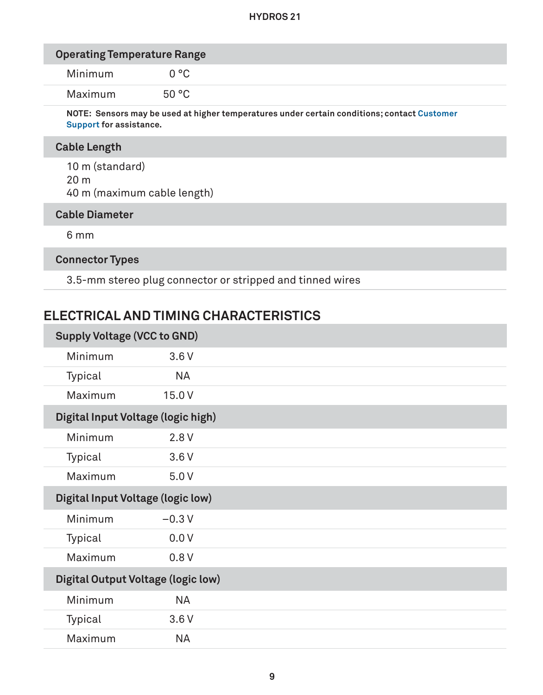#### **HYDROS 21**

<span id="page-10-0"></span>

| <b>Operating Temperature Range</b> |        |                                                                                             |
|------------------------------------|--------|---------------------------------------------------------------------------------------------|
| Minimum                            | 0 °C   |                                                                                             |
| Maximum                            | 50 °C. |                                                                                             |
|                                    |        | NOTE: Sensors may be used at higher temperatures under certain conditions; contact Customer |

**[Support](#page-16-1) for assistance.**

#### **Cable Length**

10 m (standard) 20 m 40 m (maximum cable length)

#### **Cable Diameter**

6 mm

#### **Connector Types**

3.5-mm stereo plug connector or stripped and tinned wires

#### **ELECTRICAL AND TIMING CHARACTERISTICS**

| <b>Supply Voltage (VCC to GND)</b> |         |  |
|------------------------------------|---------|--|
| Minimum                            | 3.6V    |  |
| Typical                            | NA.     |  |
| Maximum                            | 15.0 V  |  |
| Digital Input Voltage (logic high) |         |  |
| Minimum                            | 2.8V    |  |
| Typical                            | 3.6V    |  |
| Maximum                            | 5.0V    |  |
| Digital Input Voltage (logic low)  |         |  |
| Minimum                            | $-0.3V$ |  |
| Typical                            | 0.0V    |  |
| Maximum                            | 0.8V    |  |
| Digital Output Voltage (logic low) |         |  |
| Minimum                            | NA.     |  |
| Typical                            | 3.6V    |  |
| Maximum                            | NA.     |  |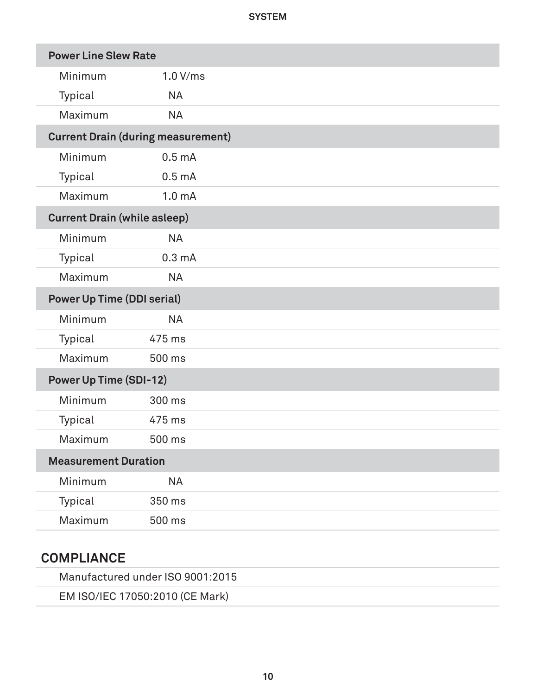<span id="page-11-0"></span>

| <b>Power Line Slew Rate</b>         |                                           |  |
|-------------------------------------|-------------------------------------------|--|
| Minimum                             | 1.0 V/ms                                  |  |
| Typical                             | <b>NA</b>                                 |  |
| Maximum                             | <b>NA</b>                                 |  |
|                                     | <b>Current Drain (during measurement)</b> |  |
| Minimum                             | 0.5 <sub>mA</sub>                         |  |
| Typical                             | 0.5 <sub>mA</sub>                         |  |
| Maximum                             | 1.0 <sub>mA</sub>                         |  |
| <b>Current Drain (while asleep)</b> |                                           |  |
| Minimum                             | <b>NA</b>                                 |  |
| Typical                             | $0.3 \text{ mA}$                          |  |
| Maximum                             | <b>NA</b>                                 |  |
| <b>Power Up Time (DDI serial)</b>   |                                           |  |
|                                     |                                           |  |
| Minimum                             | <b>NA</b>                                 |  |
| Typical                             | 475 ms                                    |  |
| Maximum                             | 500 ms                                    |  |
| <b>Power Up Time (SDI-12)</b>       |                                           |  |
| Minimum                             | 300 ms                                    |  |
| Typical                             | 475 ms                                    |  |
| Maximum                             | 500 ms                                    |  |
| <b>Measurement Duration</b>         |                                           |  |
| Minimum                             | <b>NA</b>                                 |  |
| Typical                             | 350 ms                                    |  |

#### **COMPLIANCE**

Manufactured under ISO 9001:2015

EM ISO/IEC 17050:2010 (CE Mark)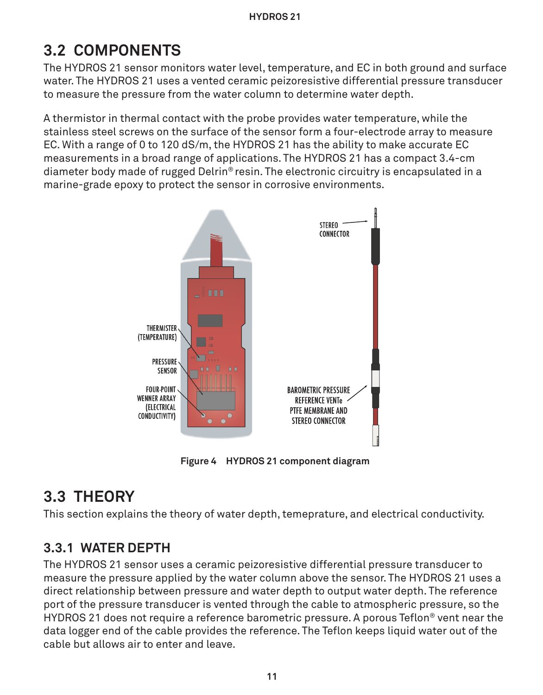## <span id="page-12-0"></span>**3.2 COMPONENTS**

The HYDROS 21 sensor monitors water level, temperature, and EC in both ground and surface water. The HYDROS 21 uses a vented ceramic peizoresistive differential pressure transducer to measure the pressure from the water column to determine water depth.

A thermistor in thermal contact with the probe provides water temperature, while the stainless steel screws on the surface of the sensor form a four-electrode array to measure EC. With a range of 0 to 120 dS/m, the HYDROS 21 has the ability to make accurate EC measurements in a broad range of applications. The HYDROS 21 has a compact 3.4-cm diameter body made of rugged Delrin® resin. The electronic circuitry is encapsulated in a marine-grade epoxy to protect the sensor in corrosive environments.



**Figure 4 HYDROS 21 component diagram**

## **3.3 THEORY**

This section explains the theory of water depth, temeprature, and electrical conductivity.

### **3.3.1 WATER DEPTH**

The HYDROS 21 sensor uses a ceramic peizoresistive differential pressure transducer to measure the pressure applied by the water column above the sensor. The HYDROS 21 uses a direct relationship between pressure and water depth to output water depth. The reference port of the pressure transducer is vented through the cable to atmospheric pressure, so the HYDROS 21 does not require a reference barometric pressure. A porous Teflon® vent near the data logger end of the cable provides the reference. The Teflon keeps liquid water out of the cable but allows air to enter and leave.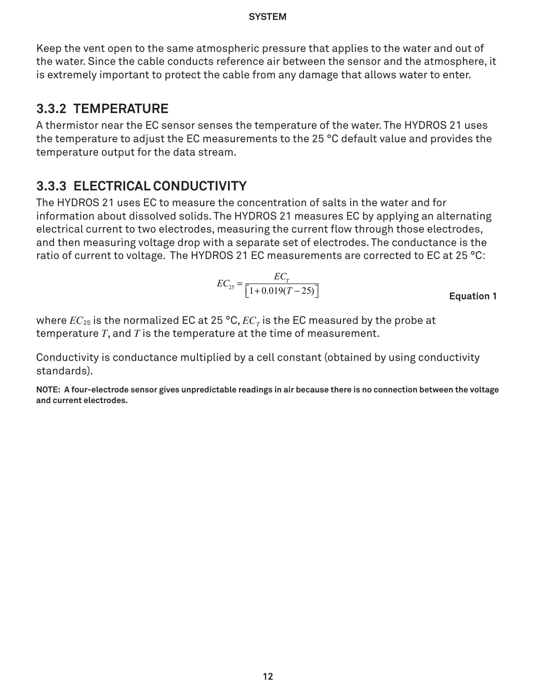#### **System**

<span id="page-13-0"></span>Keep the vent open to the same atmospheric pressure that applies to the water and out of the water. Since the cable conducts reference air between the sensor and the atmosphere, it is extremely important to protect the cable from any damage that allows water to enter.

#### **3.3.2 TEMPERATURE**

A thermistor near the EC sensor senses the temperature of the water. The HYDROS 21 uses the temperature to adjust the EC measurements to the 25 °C default value and provides the temperature output for the data stream.

#### **3.3.3 ELECTRICAL CONDUCTIVITY**

The HYDROS 21 uses EC to measure the concentration of salts in the water and for information about dissolved solids. The HYDROS 21 measures EC by applying an alternating electrical current to two electrodes, measuring the current flow through those electrodes, and then measuring voltage drop with a separate set of electrodes. The conductance is the ratio of current to voltage. The HYDROS 21 EC measurements are corrected to EC at 25 °C:

$$
EC_{25} = \frac{EC_T}{\left[1 + 0.019(T - 25)\right]}
$$
Equation 1

where  $EC_{25}$  is the normalized EC at 25 °C,  $EC_T$  is the EC measured by the probe at temperature *T*, and *T* is the temperature at the time of measurement.

Conductivity is conductance multiplied by a cell constant (obtained by using conductivity standards).

**NOTE: A four-electrode sensor gives unpredictable readings in air because there is no connection between the voltage and current electrodes.**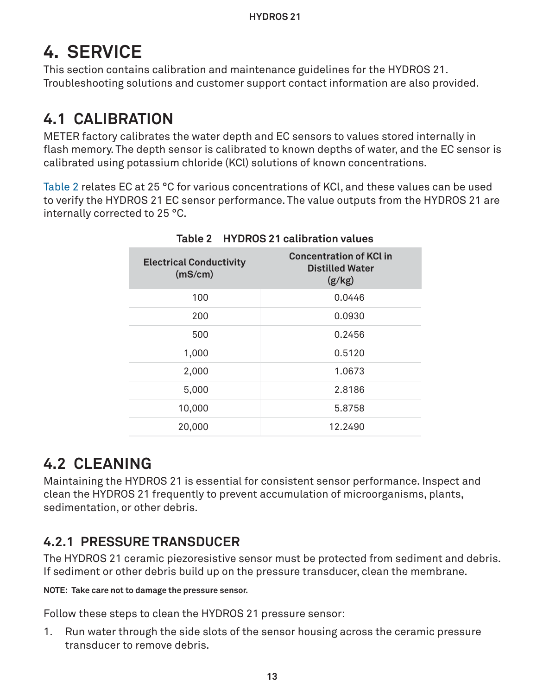## <span id="page-14-0"></span>**4. SERVICE**

This section contains calibration and maintenance guidelines for the HYDROS 21. Troubleshooting solutions and customer support contact information are also provided.

## **4.1 CALIBRATION**

METER factory calibrates the water depth and EC sensors to values stored internally in flash memory. The depth sensor is calibrated to known depths of water, and the EC sensor is calibrated using potassium chloride (KCl) solutions of known concentrations.

[Table 2](#page-14-1) relates EC at 25 °C for various concentrations of KCl, and these values can be used to verify the HYDROS 21 EC sensor performance. The value outputs from the HYDROS 21 are internally corrected to 25 °C.

| <b>Electrical Conductivity</b><br>(mS/cm) | <b>Concentration of KCI in</b><br><b>Distilled Water</b><br>(g/kg) |
|-------------------------------------------|--------------------------------------------------------------------|
| 100                                       | 0.0446                                                             |
| 200                                       | 0.0930                                                             |
| 500                                       | 0.2456                                                             |
| 1,000                                     | 0.5120                                                             |
| 2,000                                     | 1.0673                                                             |
| 5,000                                     | 2.8186                                                             |
| 10,000                                    | 5.8758                                                             |
| 20,000                                    | 12.2490                                                            |

#### <span id="page-14-1"></span>**Table 2 HYDROS 21 calibration values**

### <span id="page-14-3"></span>**4.2 CLEANING**

Maintaining the HYDROS 21 is essential for consistent sensor performance. Inspect and clean the HYDROS 21 frequently to prevent accumulation of microorganisms, plants, sedimentation, or other debris.

### **4.2.1 PRESSURE TRANSDUCER**

The HYDROS 21 ceramic piezoresistive sensor must be protected from sediment and debris. If sediment or other debris build up on the pressure transducer, clean the membrane.

**NOTE: Take care not to damage the pressure sensor.**

Follow these steps to clean the HYDROS 21 pressure sensor:

<span id="page-14-2"></span>1. Run water through the side slots of the sensor housing across the ceramic pressure transducer to remove debris.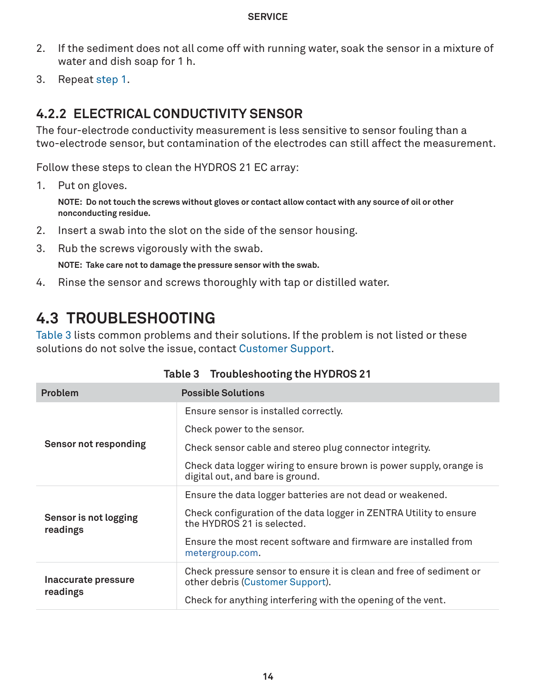#### **Service**

- <span id="page-15-0"></span>2. If the sediment does not all come off with running water, soak the sensor in a mixture of water and dish soap for 1 h.
- 3. Repeat [step 1](#page-14-2).

#### **4.2.2 ELECTRICAL CONDUCTIVITY SENSOR**

The four-electrode conductivity measurement is less sensitive to sensor fouling than a two-electrode sensor, but contamination of the electrodes can still affect the measurement.

Follow these steps to clean the HYDROS 21 EC array:

1. Put on gloves.

**NOTE: Do not touch the screws without gloves or contact allow contact with any source of oil or other nonconducting residue.**

- 2. Insert a swab into the slot on the side of the sensor housing.
- 3. Rub the screws vigorously with the swab.

**NOTE: Take care not to damage the pressure sensor with the swab.**

4. Rinse the sensor and screws thoroughly with tap or distilled water.

### **4.3 TROUBLESHOOTING**

[Table 3](#page-15-1) lists common problems and their solutions. If the problem is not listed or these solutions do not solve the issue, contact [Customer Support](#page-16-1).

| <b>Problem</b>                    | <b>Possible Solutions</b>                                                                               |
|-----------------------------------|---------------------------------------------------------------------------------------------------------|
|                                   | Ensure sensor is installed correctly.                                                                   |
|                                   | Check power to the sensor.                                                                              |
| Sensor not responding             | Check sensor cable and stereo plug connector integrity.                                                 |
|                                   | Check data logger wiring to ensure brown is power supply, orange is<br>digital out, and bare is ground. |
|                                   | Ensure the data logger batteries are not dead or weakened.                                              |
| Sensor is not logging<br>readings | Check configuration of the data logger in ZENTRA Utility to ensure<br>the HYDROS 21 is selected.        |
|                                   | Ensure the most recent software and firmware are installed from<br>metergroup.com.                      |
| Inaccurate pressure               | Check pressure sensor to ensure it is clean and free of sediment or<br>other debris (Customer Support). |
| readings                          | Check for anything interfering with the opening of the vent.                                            |

#### <span id="page-15-1"></span>**Table 3 Troubleshooting the HYDROS 21**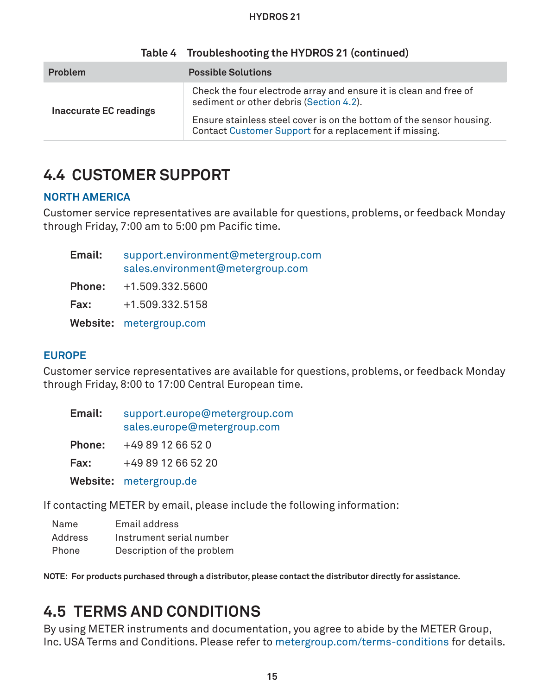<span id="page-16-0"></span>

| <b>Problem</b>         | <b>Possible Solutions</b>                                                                                                      |
|------------------------|--------------------------------------------------------------------------------------------------------------------------------|
| Inaccurate EC readings | Check the four electrode array and ensure it is clean and free of<br>sediment or other debris (Section 4.2).                   |
|                        | Ensure stainless steel cover is on the bottom of the sensor housing.<br>Contact Customer Support for a replacement if missing. |

#### **Table 4 Troubleshooting the HYDROS 21 (continued)**

## <span id="page-16-1"></span>**4.4 CUSTOMER SUPPORT**

#### **NORTH AMERICA**

Customer service representatives are available for questions, problems, or feedback Monday through Friday, 7:00 am to 5:00 pm Pacific time.

| Email:        | support.environment@metergroup.com<br>sales.environment@metergroup.com |
|---------------|------------------------------------------------------------------------|
| <b>Phone:</b> | +1.509.332.5600                                                        |
| Fax:          | +1.509.332.5158                                                        |
|               | Website: metergroup.com                                                |

#### **EUROPE**

Customer service representatives are available for questions, problems, or feedback Monday through Friday, 8:00 to 17:00 Central European time.

| Email: | support.europe@metergroup.com<br>sales.europe@metergroup.com |
|--------|--------------------------------------------------------------|
| Phone: | +49 89 12 66 52 0                                            |
| Fax:   | +49 89 12 66 52 20                                           |

**Website:** [metergroup.d](https://www.metergroup.com/de)e

If contacting METER by email, please include the following information:

| Name    | Email address              |
|---------|----------------------------|
| Address | Instrument serial number   |
| Phone   | Description of the problem |

**NOTE: For products purchased through a distributor, please contact the distributor directly for assistance.**

## **4.5 TERMS AND CONDITIONS**

By using METER instruments and documentation, you agree to abide by the METER Group, Inc. USA Terms and Conditions. Please refer to [metergroup.com/terms-conditions](http://www.metergroup.com/terms-conditions) for details.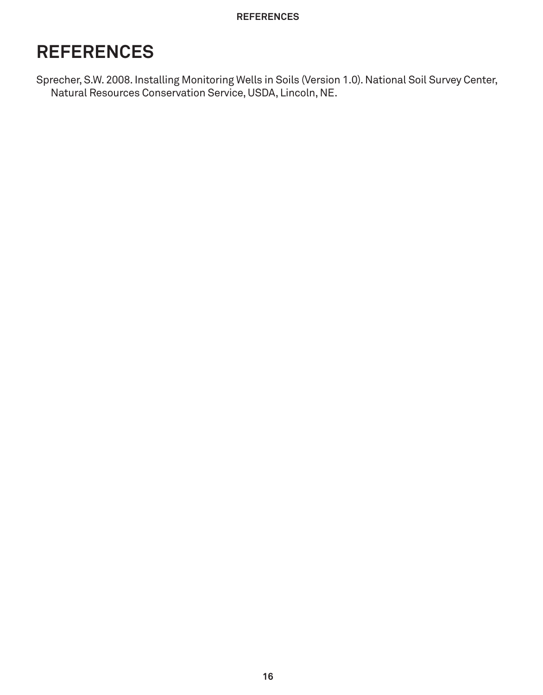## <span id="page-17-0"></span>**REFERENCES**

Sprecher, S.W. 2008. Installing Monitoring Wells in Soils (Version 1.0). National Soil Survey Center, Natural Resources Conservation Service, USDA, Lincoln, NE.